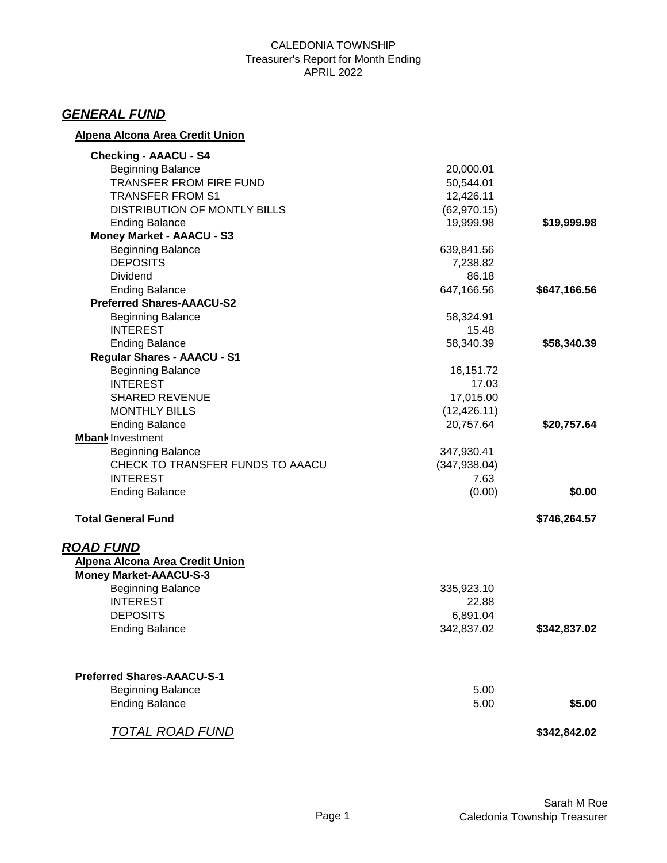#### CALEDONIA TOWNSHIP Treasurer's Report for Month Ending APRIL 2022

## *GENERAL FUND*

## **Alpena Alcona Area Credit Union**

| <b>Checking - AAACU - S4</b>        |               |              |
|-------------------------------------|---------------|--------------|
| <b>Beginning Balance</b>            | 20,000.01     |              |
| <b>TRANSFER FROM FIRE FUND</b>      | 50,544.01     |              |
| <b>TRANSFER FROM S1</b>             | 12,426.11     |              |
| <b>DISTRIBUTION OF MONTLY BILLS</b> | (62, 970.15)  |              |
| <b>Ending Balance</b>               | 19,999.98     | \$19,999.98  |
| <b>Money Market - AAACU - S3</b>    |               |              |
| <b>Beginning Balance</b>            | 639,841.56    |              |
| <b>DEPOSITS</b>                     | 7,238.82      |              |
| <b>Dividend</b>                     | 86.18         |              |
| <b>Ending Balance</b>               | 647,166.56    | \$647,166.56 |
| <b>Preferred Shares-AAACU-S2</b>    |               |              |
| <b>Beginning Balance</b>            | 58,324.91     |              |
| <b>INTEREST</b>                     | 15.48         |              |
| <b>Ending Balance</b>               | 58,340.39     | \$58,340.39  |
| Regular Shares - AAACU - S1         |               |              |
| <b>Beginning Balance</b>            | 16,151.72     |              |
| <b>INTEREST</b>                     | 17.03         |              |
| <b>SHARED REVENUE</b>               | 17,015.00     |              |
| <b>MONTHLY BILLS</b>                | (12, 426.11)  |              |
| <b>Ending Balance</b>               | 20,757.64     | \$20,757.64  |
| <b>Mbank Investment</b>             |               |              |
| <b>Beginning Balance</b>            | 347,930.41    |              |
| CHECK TO TRANSFER FUNDS TO AAACU    | (347, 938.04) |              |
| <b>INTEREST</b>                     | 7.63          |              |
| <b>Ending Balance</b>               | (0.00)        | \$0.00       |
| <b>Total General Fund</b>           |               | \$746,264.57 |
| <b>ROAD FUND</b>                    |               |              |
| Alpena Alcona Area Credit Union     |               |              |
| <b>Money Market-AAACU-S-3</b>       |               |              |
| <b>Beginning Balance</b>            | 335,923.10    |              |
| <b>INTEREST</b>                     | 22.88         |              |
| <b>DEPOSITS</b>                     | 6,891.04      |              |
| <b>Ending Balance</b>               | 342,837.02    | \$342,837.02 |
|                                     |               |              |
| <b>Preferred Shares-AAACU-S-1</b>   |               |              |
| <b>Beginning Balance</b>            | 5.00          |              |
| <b>Ending Balance</b>               | 5.00          | \$5.00       |
| <u>TOTAL ROAD FUND</u>              |               | \$342,842.02 |